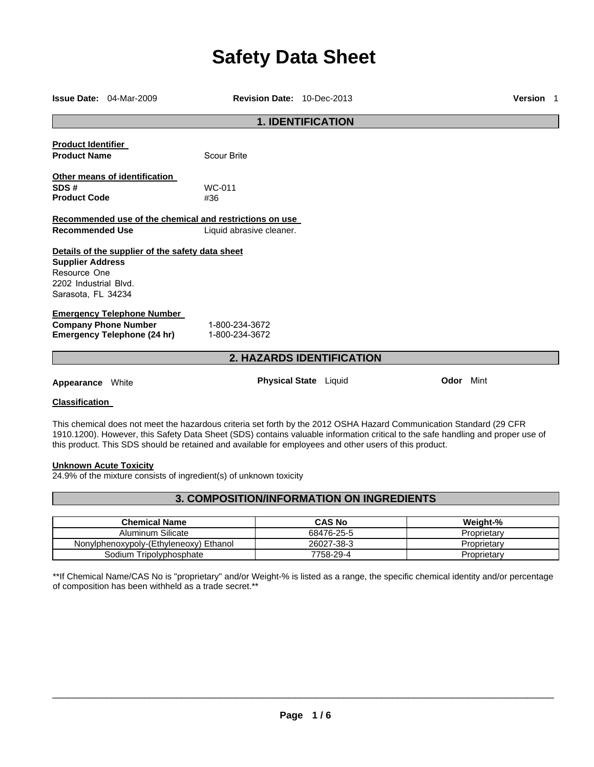# **Safety Data Sheet**

|                                                                                        | <b>Issue Date: 04-Mar-2009</b>                                                                         | Revision Date: 10-Dec-2013                                                          |                                                                                                                                                                                                                                                                                                                                                                  |                  | <b>Version</b> 1 |
|----------------------------------------------------------------------------------------|--------------------------------------------------------------------------------------------------------|-------------------------------------------------------------------------------------|------------------------------------------------------------------------------------------------------------------------------------------------------------------------------------------------------------------------------------------------------------------------------------------------------------------------------------------------------------------|------------------|------------------|
|                                                                                        |                                                                                                        | <b>1. IDENTIFICATION</b>                                                            |                                                                                                                                                                                                                                                                                                                                                                  |                  |                  |
| <b>Product Identifier</b><br><b>Product Name</b>                                       |                                                                                                        | <b>Scour Brite</b>                                                                  |                                                                                                                                                                                                                                                                                                                                                                  |                  |                  |
| SDS#<br><b>Product Code</b>                                                            | Other means of identification                                                                          | WC-011<br>#36                                                                       |                                                                                                                                                                                                                                                                                                                                                                  |                  |                  |
| <b>Recommended Use</b>                                                                 |                                                                                                        | Recommended use of the chemical and restrictions on use<br>Liquid abrasive cleaner. |                                                                                                                                                                                                                                                                                                                                                                  |                  |                  |
| <b>Supplier Address</b><br>Resource One<br>2202 Industrial Blvd.<br>Sarasota, FL 34234 | Details of the supplier of the safety data sheet                                                       |                                                                                     |                                                                                                                                                                                                                                                                                                                                                                  |                  |                  |
|                                                                                        | <b>Emergency Telephone Number</b><br><b>Company Phone Number</b><br><b>Emergency Telephone (24 hr)</b> | 1-800-234-3672<br>1-800-234-3672                                                    |                                                                                                                                                                                                                                                                                                                                                                  |                  |                  |
|                                                                                        |                                                                                                        | <b>2. HAZARDS IDENTIFICATION</b>                                                    |                                                                                                                                                                                                                                                                                                                                                                  |                  |                  |
| <b>Appearance</b> White                                                                |                                                                                                        | Physical State Liquid                                                               |                                                                                                                                                                                                                                                                                                                                                                  | <b>Odor</b> Mint |                  |
| <b>Classification</b>                                                                  |                                                                                                        |                                                                                     |                                                                                                                                                                                                                                                                                                                                                                  |                  |                  |
|                                                                                        |                                                                                                        |                                                                                     | This chemical does not meet the hazardous criteria set forth by the 2012 OSHA Hazard Communication Standard (29 CFR<br>1910.1200). However, this Safety Data Sheet (SDS) contains valuable information critical to the safe handling and proper use of<br>this product. This SDS should be retained and available for employees and other users of this product. |                  |                  |

#### **Unknown Acute Toxicity**

24.9% of the mixture consists of ingredient(s) of unknown toxicity

### **3. COMPOSITION/INFORMATION ON INGREDIENTS**

| <b>Chemical Name</b>                   | <b>CAS No</b> | Weight-%    |
|----------------------------------------|---------------|-------------|
| Aluminum Silicate                      | 68476-25-5    | Proprietary |
| Nonylphenoxypoly-(Ethyleneoxy) Ethanol | 26027-38-3    | Proprietary |
| Sodium Tripolyphosphate                | 7758-29-4     | Proprietary |

\*\*If Chemical Name/CAS No is "proprietary" and/or Weight-% is listed as a range, the specific chemical identity and/or percentage of composition has been withheld as a trade secret.\*\*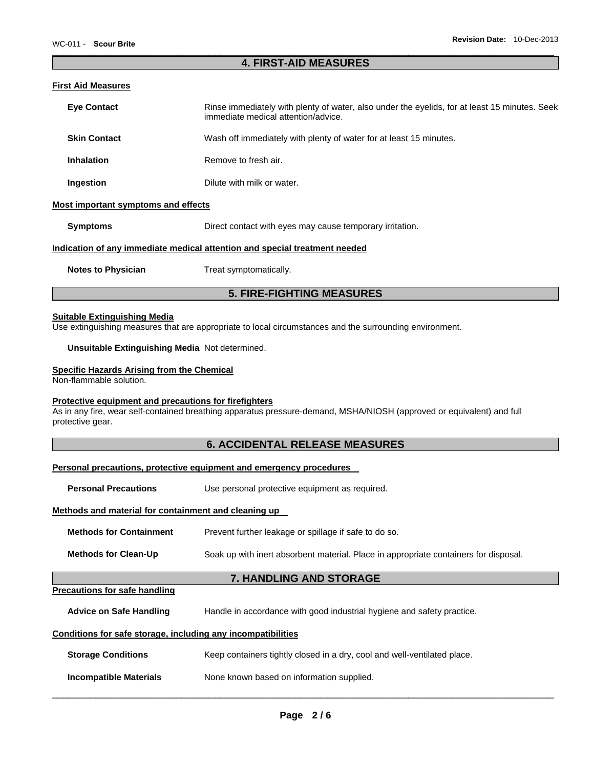## **4. FIRST-AID MEASURES**

### **First Aid Measures**

| ניט וועטשטוויו שורי ויו                                                                                                                                                                                                                            |                                                                                                                                                                                                                                  |  |
|----------------------------------------------------------------------------------------------------------------------------------------------------------------------------------------------------------------------------------------------------|----------------------------------------------------------------------------------------------------------------------------------------------------------------------------------------------------------------------------------|--|
| <b>Eye Contact</b>                                                                                                                                                                                                                                 | Rinse immediately with plenty of water, also under the eyelids, for at least 15 minutes. Seek<br>immediate medical attention/advice.                                                                                             |  |
| <b>Skin Contact</b><br>Wash off immediately with plenty of water for at least 15 minutes.                                                                                                                                                          |                                                                                                                                                                                                                                  |  |
| <b>Inhalation</b>                                                                                                                                                                                                                                  | Remove to fresh air.                                                                                                                                                                                                             |  |
| Ingestion                                                                                                                                                                                                                                          | Dilute with milk or water.                                                                                                                                                                                                       |  |
| <b>Most important symptoms and effects</b>                                                                                                                                                                                                         |                                                                                                                                                                                                                                  |  |
| <b>Symptoms</b><br>Direct contact with eyes may cause temporary irritation.                                                                                                                                                                        |                                                                                                                                                                                                                                  |  |
|                                                                                                                                                                                                                                                    | Indication of any immediate medical attention and special treatment needed                                                                                                                                                       |  |
| <b>Notes to Physician</b>                                                                                                                                                                                                                          | Treat symptomatically.                                                                                                                                                                                                           |  |
|                                                                                                                                                                                                                                                    | <b>5. FIRE-FIGHTING MEASURES</b>                                                                                                                                                                                                 |  |
| <b>Suitable Extinguishing Media</b><br>Unsuitable Extinguishing Media Not determined.<br><b>Specific Hazards Arising from the Chemical</b><br>Non-flammable solution.<br>Protective equipment and precautions for firefighters<br>protective gear. | Use extinguishing measures that are appropriate to local circumstances and the surrounding environment.<br>As in any fire, wear self-contained breathing apparatus pressure-demand, MSHA/NIOSH (approved or equivalent) and full |  |
|                                                                                                                                                                                                                                                    | <b>6. ACCIDENTAL RELEASE MEASURES</b>                                                                                                                                                                                            |  |
|                                                                                                                                                                                                                                                    | Personal precautions, protective equipment and emergency procedures                                                                                                                                                              |  |
| <b>Personal Precautions</b>                                                                                                                                                                                                                        | Use personal protective equipment as required.                                                                                                                                                                                   |  |
| Methods and material for containment and cleaning up                                                                                                                                                                                               |                                                                                                                                                                                                                                  |  |
| <b>Methods for Containment</b>                                                                                                                                                                                                                     | Prevent further leakage or spillage if safe to do so.                                                                                                                                                                            |  |
| <b>Methods for Clean-Up</b><br>Soak up with inert absorbent material. Place in appropriate containers for disposal.                                                                                                                                |                                                                                                                                                                                                                                  |  |
|                                                                                                                                                                                                                                                    | 7. HANDLING AND STORAGE                                                                                                                                                                                                          |  |
| <b>Precautions for safe handling</b>                                                                                                                                                                                                               |                                                                                                                                                                                                                                  |  |
| <b>Advice on Safe Handling</b>                                                                                                                                                                                                                     | Handle in accordance with good industrial hygiene and safety practice.                                                                                                                                                           |  |
| Conditions for safe storage, including any incompatibilities                                                                                                                                                                                       |                                                                                                                                                                                                                                  |  |
| <b>Storage Conditions</b>                                                                                                                                                                                                                          | Keep containers tightly closed in a dry, cool and well-ventilated place.                                                                                                                                                         |  |
| <b>Incompatible Materials</b>                                                                                                                                                                                                                      | None known based on information supplied.                                                                                                                                                                                        |  |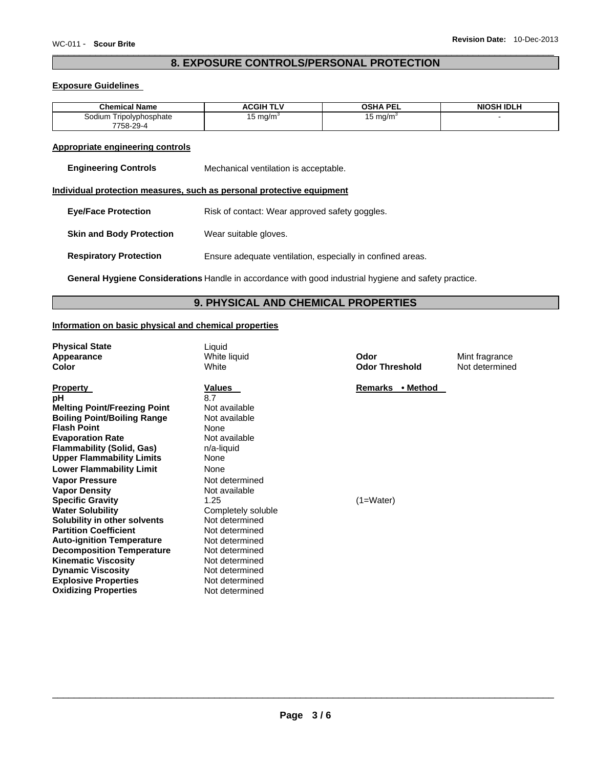### **8. EXPOSURE CONTROLS/PERSONAL PROTECTION**

### **Exposure Guidelines**

| <b>Chemical Name</b>        | <b>ACGIH TLV</b> | OSHA PE<br>--- | <b>NIOSH IDLH</b> |
|-----------------------------|------------------|----------------|-------------------|
| Sodium⊺<br>Tripolyphosphate | 15 ma/m          | ⊥5 ma/m`       |                   |
| 7758-29-4                   |                  |                |                   |

### **Appropriate engineering controls**

| <b>Engineering Controls</b> | Mechanical ventilation is acceptable. |
|-----------------------------|---------------------------------------|
|-----------------------------|---------------------------------------|

### **Individual protection measures, such as personal protective equipment**

| <b>Eye/Face Protection</b>      | Risk of contact: Wear approved safety goggles.             |
|---------------------------------|------------------------------------------------------------|
| <b>Skin and Body Protection</b> | Wear suitable gloves.                                      |
| <b>Respiratory Protection</b>   | Ensure adequate ventilation, especially in confined areas. |

**General Hygiene Considerations** Handle in accordance with good industrial hygiene and safety practice.

### **9. PHYSICAL AND CHEMICAL PROPERTIES**

### **Information on basic physical and chemical properties**

| <b>Physical State</b><br><b>Appearance</b><br>Color                                                                                                                                                                                                                                                                                                                                                                                                                                                                                                                                                                                   | Liquid<br>White liquid<br><b>White</b>                                                                                                                                                                                                                                                                                                       | Odor<br>Odor  |
|---------------------------------------------------------------------------------------------------------------------------------------------------------------------------------------------------------------------------------------------------------------------------------------------------------------------------------------------------------------------------------------------------------------------------------------------------------------------------------------------------------------------------------------------------------------------------------------------------------------------------------------|----------------------------------------------------------------------------------------------------------------------------------------------------------------------------------------------------------------------------------------------------------------------------------------------------------------------------------------------|---------------|
| <b>Property</b><br>рH<br><b>Melting Point/Freezing Point</b><br><b>Boiling Point/Boiling Range</b><br><b>Flash Point</b><br><b>Evaporation Rate</b><br><b>Flammability (Solid, Gas)</b><br><b>Upper Flammability Limits</b><br><b>Lower Flammability Limit</b><br><b>Vapor Pressure</b><br><b>Vapor Density</b><br><b>Specific Gravity</b><br><b>Water Solubility</b><br>Solubility in other solvents<br><b>Partition Coefficient</b><br><b>Auto-ignition Temperature</b><br><b>Decomposition Temperature</b><br><b>Kinematic Viscosity</b><br><b>Dynamic Viscosity</b><br><b>Explosive Properties</b><br><b>Oxidizing Properties</b> | <b>Values</b><br>8.7<br>Not available<br>Not available<br>None<br>Not available<br>n/a-liquid<br><b>None</b><br><b>None</b><br>Not determined<br>Not available<br>1.25<br>Completely soluble<br>Not determined<br>Not determined<br>Not determined<br>Not determined<br>Not determined<br>Not determined<br>Not determined<br>Not determined | Rema<br>(1=Wa |
|                                                                                                                                                                                                                                                                                                                                                                                                                                                                                                                                                                                                                                       |                                                                                                                                                                                                                                                                                                                                              |               |

**Odor Threshold** 

Mint fragrance Not determined

**Remarks • Method** 

(1=Water)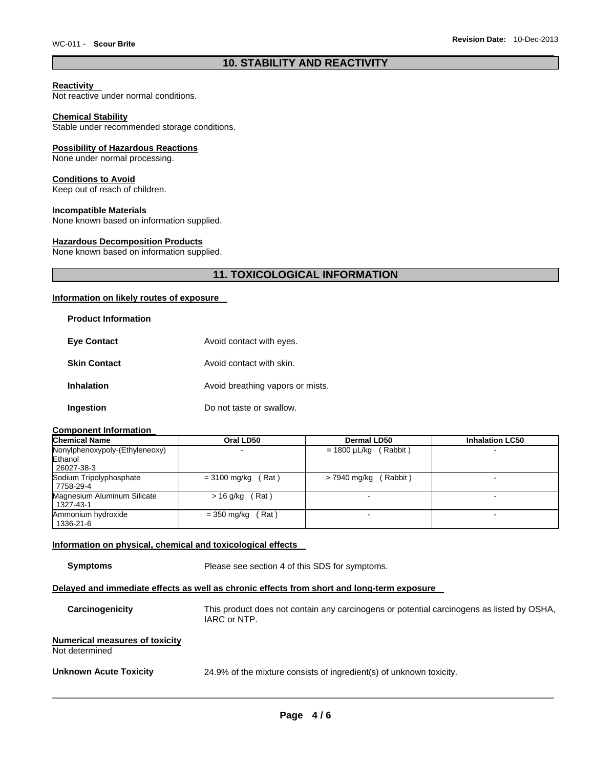### **10. STABILITY AND REACTIVITY**

### **Reactivity**

Not reactive under normal conditions.

#### **Chemical Stability**

Stable under recommended storage conditions.

### **Possibility of Hazardous Reactions**

None under normal processing.

### **Conditions to Avoid**

Keep out of reach of children.

### **Incompatible Materials**

None known based on information supplied.

### **Hazardous Decomposition Products**

None known based on information supplied.

### **11. TOXICOLOGICAL INFORMATION**

### **Information on likely routes of exposure**

| <b>Product Information</b> |                                  |
|----------------------------|----------------------------------|
| <b>Eye Contact</b>         | Avoid contact with eyes.         |
| <b>Skin Contact</b>        | Avoid contact with skin.         |
| <b>Inhalation</b>          | Avoid breathing vapors or mists. |
| Ingestion                  | Do not taste or swallow.         |

### **Component Information**

| <b>Chemical Name</b>           | Oral LD50            | Dermal LD50                | <b>Inhalation LC50</b>   |
|--------------------------------|----------------------|----------------------------|--------------------------|
| Nonylphenoxypoly-(Ethyleneoxy) |                      | $= 1800 \mu L/kg$ (Rabbit) |                          |
| Ethanol                        |                      |                            |                          |
| 26027-38-3                     |                      |                            |                          |
| Sodium Tripolyphosphate        | $= 3100$ mg/kg (Rat) | $> 7940$ mg/kg (Rabbit)    | $\overline{\phantom{0}}$ |
| 7758-29-4                      |                      |                            |                          |
| Magnesium Aluminum Silicate    | $>$ 16 g/kg (Rat)    |                            |                          |
| 1327-43-1                      |                      |                            |                          |
| Ammonium hydroxide             | $=$ 350 mg/kg (Rat)  |                            |                          |
| 1336-21-6                      |                      |                            |                          |

#### **Information on physical, chemical and toxicological effects**

**Symptoms** Please see section 4 of this SDS for symptoms.

#### **Delayed and immediate effects as well as chronic effects from short and long-term exposure**

| Carcinogenicity                                         | This product does not contain any carcinogens or potential carcinogens as listed by OSHA,<br>IARC or NTP. |
|---------------------------------------------------------|-----------------------------------------------------------------------------------------------------------|
| <b>Numerical measures of toxicity</b><br>Not determined |                                                                                                           |
| <b>Unknown Acute Toxicity</b>                           | 24.9% of the mixture consists of ingredient(s) of unknown toxicity.                                       |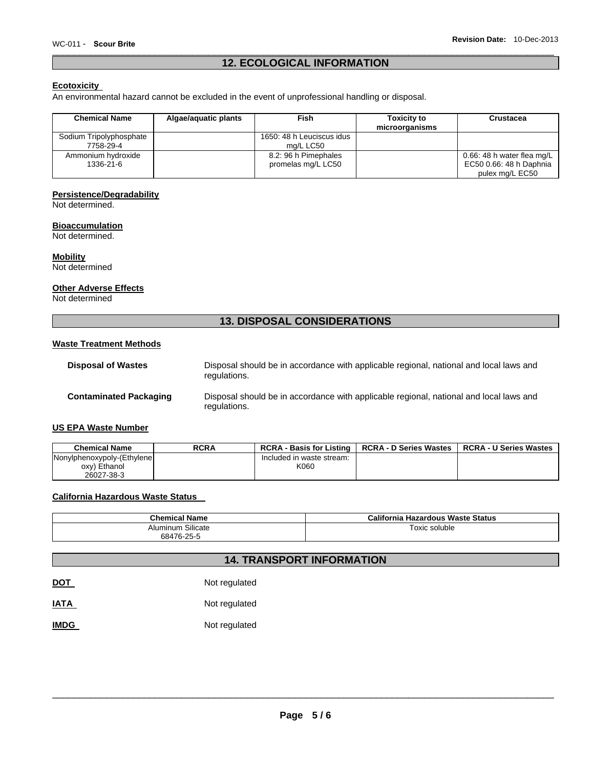### **12. ECOLOGICAL INFORMATION**

### **Ecotoxicity**

An environmental hazard cannot be excluded in the event of unprofessional handling or disposal.

| <b>Chemical Name</b>                 | Algae/aguatic plants | <b>Fish</b>                                | <b>Toxicity to</b><br>microorganisms | Crustacea                                                                |
|--------------------------------------|----------------------|--------------------------------------------|--------------------------------------|--------------------------------------------------------------------------|
| Sodium Tripolyphosphate<br>7758-29-4 |                      | 1650: 48 h Leuciscus idus<br>ma/L LC50     |                                      |                                                                          |
| Ammonium hydroxide<br>1336-21-6      |                      | 8.2: 96 h Pimephales<br>promelas mg/L LC50 |                                      | 0.66: 48 h water flea mg/L<br>EC50 0.66: 48 h Daphnia<br>pulex mg/L EC50 |

### **Persistence/Degradability**

Not determined.

### **Bioaccumulation**

Not determined.

### **Mobility**

Not determined

### **Other Adverse Effects**

Not determined

### **13. DISPOSAL CONSIDERATIONS**

### **Waste Treatment Methods**

| <b>Disposal of Wastes</b>     | Disposal should be in accordance with applicable regional, national and local laws and<br>regulations. |
|-------------------------------|--------------------------------------------------------------------------------------------------------|
| <b>Contaminated Packaging</b> | Disposal should be in accordance with applicable regional, national and local laws and<br>regulations. |

### **US EPA Waste Number**

| <b>Chemical Name</b>       | <b>RCRA</b> | <b>RCRA - Basis for Listing</b> | <b>RCRA - D Series Wastes</b> | <b>RCRA - U Series Wastes</b> |
|----------------------------|-------------|---------------------------------|-------------------------------|-------------------------------|
| Nonylphenoxypoly-(Ethylene |             | Included in waste stream:       |                               |                               |
| oxy) Ethanol               |             | K060                            |                               |                               |
| 26027-38-3                 |             |                                 |                               |                               |

### **California Hazardous Waste Status**

| <b>Chemical Name</b>                  | California<br>a Hazardous Waste Status |
|---------------------------------------|----------------------------------------|
| $\sim \cdots$<br>Silicate<br>Aluminum | Toxic soluble                          |
| $.476-25$<br>684<br>້                 |                                        |

### **14. TRANSPORT INFORMATION**

| <b>DOT</b> | Not regulated |
|------------|---------------|
|            |               |

**IATA** Not regulated

**IMDG** Not regulated